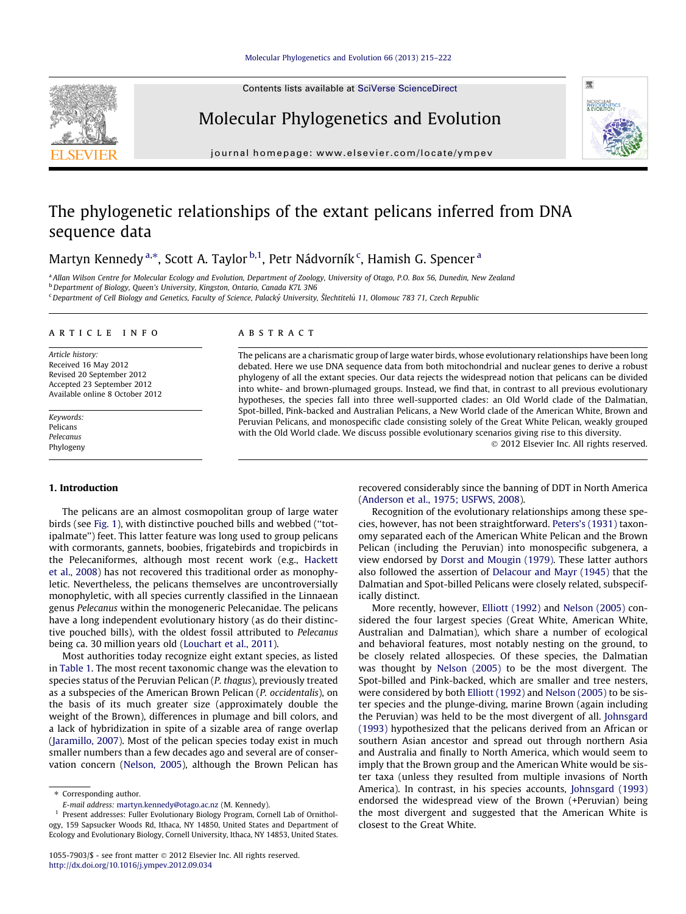## [Molecular Phylogenetics and Evolution 66 \(2013\) 215–222](http://dx.doi.org/10.1016/j.ympev.2012.09.034)

Contents lists available at [SciVerse ScienceDirect](http://www.sciencedirect.com/science/journal/10557903)



# Molecular Phylogenetics and Evolution



# The phylogenetic relationships of the extant pelicans inferred from DNA sequence data

Martyn Kennedy <sup>a,</sup>\*, Scott A. Taylor <sup>b,1</sup>, Petr Nádvorník <sup>c</sup>, Hamish G. Spencer <sup>a</sup>

a Allan Wilson Centre for Molecular Ecology and Evolution, Department of Zoology, University of Otago, P.O. Box 56, Dunedin, New Zealand <sup>b</sup> Department of Biology, Queen's University, Kingston, Ontario, Canada K7L 3N6

<sup>c</sup> Department of Cell Biology and Genetics, Faculty of Science, Palacký University, Šlechtitelů 11, Olomouc 783 71, Czech Republic

## article info

Article history: Received 16 May 2012 Revised 20 September 2012 Accepted 23 September 2012 Available online 8 October 2012

Keywords: Pelicans Pelecanus Phylogeny

## 1. Introduction

The pelicans are an almost cosmopolitan group of large water birds (see [Fig. 1\)](#page-1-0), with distinctive pouched bills and webbed (''totipalmate'') feet. This latter feature was long used to group pelicans with cormorants, gannets, boobies, frigatebirds and tropicbirds in the Pelecaniformes, although most recent work (e.g., [Hackett](#page-6-0) [et al., 2008\)](#page-6-0) has not recovered this traditional order as monophyletic. Nevertheless, the pelicans themselves are uncontroversially monophyletic, with all species currently classified in the Linnaean genus Pelecanus within the monogeneric Pelecanidae. The pelicans have a long independent evolutionary history (as do their distinctive pouched bills), with the oldest fossil attributed to Pelecanus being ca. 30 million years old [\(Louchart et al., 2011](#page-7-0)).

Most authorities today recognize eight extant species, as listed in [Table 1](#page-2-0). The most recent taxonomic change was the elevation to species status of the Peruvian Pelican (P. thagus), previously treated as a subspecies of the American Brown Pelican (P. occidentalis), on the basis of its much greater size (approximately double the weight of the Brown), differences in plumage and bill colors, and a lack of hybridization in spite of a sizable area of range overlap ([Jaramillo, 2007](#page-7-0)). Most of the pelican species today exist in much smaller numbers than a few decades ago and several are of conservation concern [\(Nelson, 2005](#page-7-0)), although the Brown Pelican has

# ABSTRACT

The pelicans are a charismatic group of large water birds, whose evolutionary relationships have been long debated. Here we use DNA sequence data from both mitochondrial and nuclear genes to derive a robust phylogeny of all the extant species. Our data rejects the widespread notion that pelicans can be divided into white- and brown-plumaged groups. Instead, we find that, in contrast to all previous evolutionary hypotheses, the species fall into three well-supported clades: an Old World clade of the Dalmatian, Spot-billed, Pink-backed and Australian Pelicans, a New World clade of the American White, Brown and Peruvian Pelicans, and monospecific clade consisting solely of the Great White Pelican, weakly grouped with the Old World clade. We discuss possible evolutionary scenarios giving rise to this diversity.

- 2012 Elsevier Inc. All rights reserved.

霐

recovered considerably since the banning of DDT in North America ([Anderson et al., 1975; USFWS, 2008](#page-6-0)).

Recognition of the evolutionary relationships among these species, however, has not been straightforward. [Peters's \(1931\)](#page-7-0) taxonomy separated each of the American White Pelican and the Brown Pelican (including the Peruvian) into monospecific subgenera, a view endorsed by [Dorst and Mougin \(1979\).](#page-6-0) These latter authors also followed the assertion of [Delacour and Mayr \(1945\)](#page-6-0) that the Dalmatian and Spot-billed Pelicans were closely related, subspecifically distinct.

More recently, however, [Elliott \(1992\)](#page-6-0) and [Nelson \(2005\)](#page-7-0) considered the four largest species (Great White, American White, Australian and Dalmatian), which share a number of ecological and behavioral features, most notably nesting on the ground, to be closely related allospecies. Of these species, the Dalmatian was thought by [Nelson \(2005\)](#page-7-0) to be the most divergent. The Spot-billed and Pink-backed, which are smaller and tree nesters, were considered by both [Elliott \(1992\)](#page-6-0) and [Nelson \(2005\)](#page-7-0) to be sister species and the plunge-diving, marine Brown (again including the Peruvian) was held to be the most divergent of all. [Johnsgard](#page-7-0) [\(1993\)](#page-7-0) hypothesized that the pelicans derived from an African or southern Asian ancestor and spread out through northern Asia and Australia and finally to North America, which would seem to imply that the Brown group and the American White would be sister taxa (unless they resulted from multiple invasions of North America). In contrast, in his species accounts, [Johnsgard \(1993\)](#page-7-0) endorsed the widespread view of the Brown (+Peruvian) being the most divergent and suggested that the American White is closest to the Great White.

<sup>\*</sup> Corresponding author.

E-mail address: [martyn.kennedy@otago.ac.nz](mailto:martyn.kennedy@otago.ac.nz) (M. Kennedy).

<sup>&</sup>lt;sup>1</sup> Present addresses: Fuller Evolutionary Biology Program, Cornell Lab of Ornithology, 159 Sapsucker Woods Rd, Ithaca, NY 14850, United States and Department of Ecology and Evolutionary Biology, Cornell University, Ithaca, NY 14853, United States.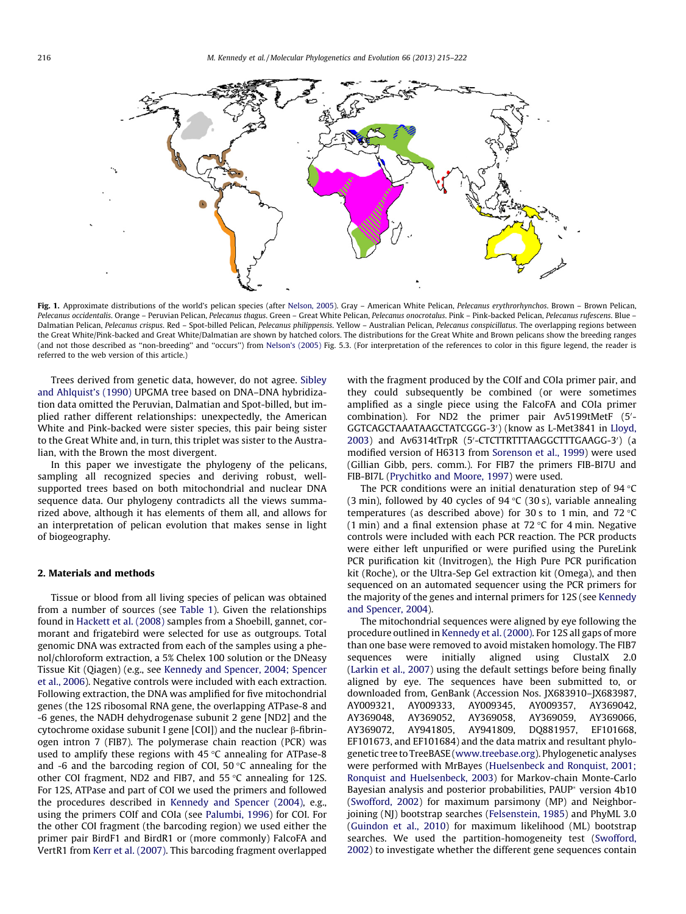<span id="page-1-0"></span>

Fig. 1. Approximate distributions of the world's pelican species (after [Nelson, 2005\)](#page-7-0). Gray – American White Pelican, Pelecanus erythrorhynchos. Brown – Brown Pelican Pelecanus occidentalis. Orange – Peruvian Pelican, Pelecanus thagus. Green – Great White Pelican, Pelecanus onocrotalus. Pink – Pink-backed Pelican, Pelecanus rufescens. Blue – Dalmatian Pelican, Pelecanus crispus. Red - Spot-billed Pelican, Pelecanus philippensis. Yellow - Australian Pelican, Pelecanus conspicillatus. The overlapping regions between the Great White/Pink-backed and Great White/Dalmatian are shown by hatched colors. The distributions for the Great White and Brown pelicans show the breeding ranges (and not those described as ''non-breeding'' and ''occurs'') from [Nelson's \(2005\)](#page-7-0) Fig. 5.3. (For interpretation of the references to color in this figure legend, the reader is referred to the web version of this article.)

Trees derived from genetic data, however, do not agree. [Sibley](#page-7-0) [and Ahlquist's \(1990\)](#page-7-0) UPGMA tree based on DNA–DNA hybridization data omitted the Peruvian, Dalmatian and Spot-billed, but implied rather different relationships: unexpectedly, the American White and Pink-backed were sister species, this pair being sister to the Great White and, in turn, this triplet was sister to the Australian, with the Brown the most divergent.

In this paper we investigate the phylogeny of the pelicans, sampling all recognized species and deriving robust, wellsupported trees based on both mitochondrial and nuclear DNA sequence data. Our phylogeny contradicts all the views summarized above, although it has elements of them all, and allows for an interpretation of pelican evolution that makes sense in light of biogeography.

### 2. Materials and methods

Tissue or blood from all living species of pelican was obtained from a number of sources (see [Table 1](#page-2-0)). Given the relationships found in [Hackett et al. \(2008\)](#page-6-0) samples from a Shoebill, gannet, cormorant and frigatebird were selected for use as outgroups. Total genomic DNA was extracted from each of the samples using a phenol/chloroform extraction, a 5% Chelex 100 solution or the DNeasy Tissue Kit (Qiagen) (e.g., see [Kennedy and Spencer, 2004; Spencer](#page-7-0) [et al., 2006\)](#page-7-0). Negative controls were included with each extraction. Following extraction, the DNA was amplified for five mitochondrial genes (the 12S ribosomal RNA gene, the overlapping ATPase-8 and -6 genes, the NADH dehydrogenase subunit 2 gene [ND2] and the cytochrome oxidase subunit I gene  $[COI]$ ) and the nuclear  $\beta$ -fibrinogen intron 7 (FIB7). The polymerase chain reaction (PCR) was used to amplify these regions with  $45^{\circ}$ C annealing for ATPase-8 and -6 and the barcoding region of COI,  $50^{\circ}$ C annealing for the other COI fragment, ND2 and FIB7, and  $55^{\circ}$ C annealing for 12S. For 12S, ATPase and part of COI we used the primers and followed the procedures described in [Kennedy and Spencer \(2004\)](#page-7-0), e.g., using the primers COIf and COIa (see [Palumbi, 1996\)](#page-7-0) for COI. For the other COI fragment (the barcoding region) we used either the primer pair BirdF1 and BirdR1 or (more commonly) FalcoFA and VertR1 from [Kerr et al. \(2007\).](#page-7-0) This barcoding fragment overlapped with the fragment produced by the COIf and COIa primer pair, and they could subsequently be combined (or were sometimes amplified as a single piece using the FalcoFA and COIa primer combination). For ND2 the primer pair Av5199tMetF (5'-GGTCAGCTAAATAAGCTATCGGG-3') (know as L-Met3841 in [Lloyd,](#page-7-0) [2003\)](#page-7-0) and Av6314tTrpR (5'-CTCTTRTTTAAGGCTTTGAAGG-3') (a modified version of H6313 from [Sorenson et al., 1999\)](#page-7-0) were used (Gillian Gibb, pers. comm.). For FIB7 the primers FIB-BI7U and FIB-BI7L ([Prychitko and Moore, 1997\)](#page-7-0) were used.

The PCR conditions were an initial denaturation step of 94  $°C$ (3 min), followed by 40 cycles of  $94 \text{ °C}$  (30 s), variable annealing temperatures (as described above) for 30 s to 1 min, and 72  $°C$ (1 min) and a final extension phase at  $72 °C$  for 4 min. Negative controls were included with each PCR reaction. The PCR products were either left unpurified or were purified using the PureLink PCR purification kit (Invitrogen), the High Pure PCR purification kit (Roche), or the Ultra-Sep Gel extraction kit (Omega), and then sequenced on an automated sequencer using the PCR primers for the majority of the genes and internal primers for 12S (see [Kennedy](#page-7-0) [and Spencer, 2004\)](#page-7-0).

The mitochondrial sequences were aligned by eye following the procedure outlined in [Kennedy et al. \(2000\)](#page-7-0). For 12S all gaps of more than one base were removed to avoid mistaken homology. The FIB7 sequences were initially aligned using ClustalX 2.0 ([Larkin et al., 2007](#page-7-0)) using the default settings before being finally aligned by eye. The sequences have been submitted to, or downloaded from, GenBank (Accession Nos. JX683910–JX683987, AY009321, AY009333, AY009345, AY009357, AY369042, AY369048, AY369052, AY369058, AY369059, AY369066, AY369072, AY941805, AY941809, DQ881957, EF101668, EF101673, and EF101684) and the data matrix and resultant phylogenetic tree to TreeBASE ([www.treebase.org\)](http://www.treebase.org). Phylogenetic analyses were performed with MrBayes ([Huelsenbeck and Ronquist, 2001;](#page-7-0) [Ronquist and Huelsenbeck, 2003\)](#page-7-0) for Markov-chain Monte-Carlo Bayesian analysis and posterior probabilities, PAUP<sup>\*</sup> version 4b10 ([Swofford, 2002\)](#page-7-0) for maximum parsimony (MP) and Neighbor-joining (NJ) bootstrap searches ([Felsenstein, 1985\)](#page-6-0) and PhyML 3.0 ([Guindon et al., 2010](#page-6-0)) for maximum likelihood (ML) bootstrap searches. We used the partition-homogeneity test ([Swofford,](#page-7-0) [2002\)](#page-7-0) to investigate whether the different gene sequences contain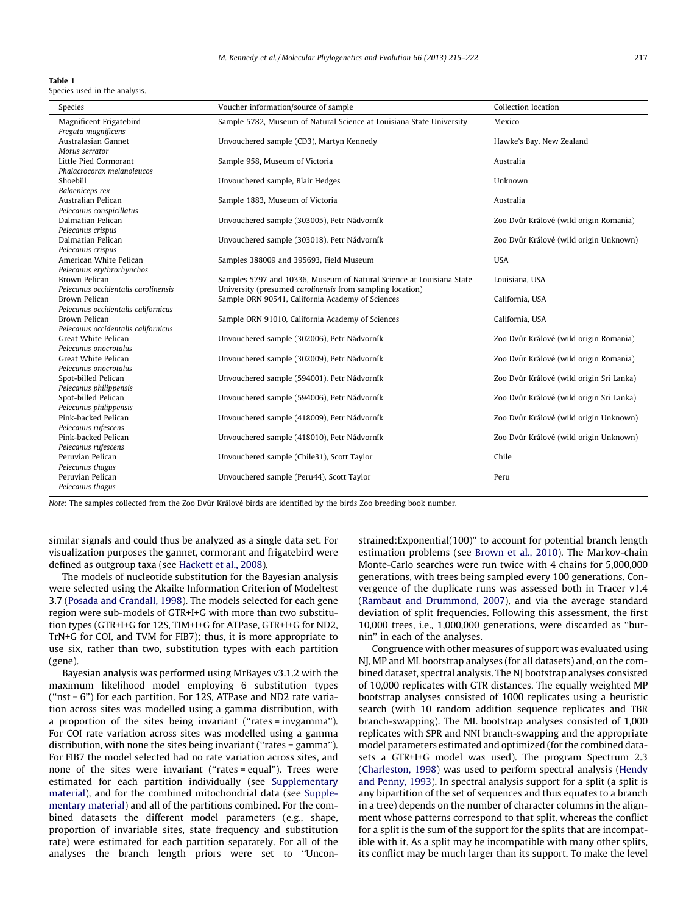#### <span id="page-2-0"></span>Table 1

Species used in the analysis.

| Species                                        | Voucher information/source of sample                                 | Collection location                      |  |  |  |  |  |  |
|------------------------------------------------|----------------------------------------------------------------------|------------------------------------------|--|--|--|--|--|--|
| Magnificent Frigatebird<br>Fregata magnificens | Sample 5782, Museum of Natural Science at Louisiana State University | Mexico                                   |  |  |  |  |  |  |
| Australasian Gannet                            | Unvouchered sample (CD3), Martyn Kennedy                             | Hawke's Bay, New Zealand                 |  |  |  |  |  |  |
| Morus serrator                                 |                                                                      |                                          |  |  |  |  |  |  |
| Little Pied Cormorant                          | Sample 958, Museum of Victoria                                       | Australia                                |  |  |  |  |  |  |
| Phalacrocorax melanoleucos                     |                                                                      |                                          |  |  |  |  |  |  |
| Shoebill                                       | Unvouchered sample, Blair Hedges                                     | Unknown                                  |  |  |  |  |  |  |
| Balaeniceps rex                                |                                                                      |                                          |  |  |  |  |  |  |
| Australian Pelican                             | Sample 1883, Museum of Victoria                                      | Australia                                |  |  |  |  |  |  |
| Pelecanus conspicillatus                       |                                                                      |                                          |  |  |  |  |  |  |
| Dalmatian Pelican                              | Unvouchered sample (303005), Petr Nádvorník                          | Zoo Dvůr Králové (wild origin Romania)   |  |  |  |  |  |  |
| Pelecanus crispus                              |                                                                      |                                          |  |  |  |  |  |  |
| Dalmatian Pelican                              | Unvouchered sample (303018), Petr Nádvorník                          | Zoo Dvůr Králové (wild origin Unknown)   |  |  |  |  |  |  |
| Pelecanus crispus                              |                                                                      |                                          |  |  |  |  |  |  |
| American White Pelican                         | Samples 388009 and 395693, Field Museum                              | <b>USA</b>                               |  |  |  |  |  |  |
| Pelecanus erythrorhynchos                      |                                                                      |                                          |  |  |  |  |  |  |
| Brown Pelican                                  | Samples 5797 and 10336, Museum of Natural Science at Louisiana State | Louisiana, USA                           |  |  |  |  |  |  |
| Pelecanus occidentalis carolinensis            | University (presumed carolinensis from sampling location)            |                                          |  |  |  |  |  |  |
| Brown Pelican                                  | Sample ORN 90541, California Academy of Sciences                     | California, USA                          |  |  |  |  |  |  |
| Pelecanus occidentalis californicus            |                                                                      |                                          |  |  |  |  |  |  |
| Brown Pelican                                  | Sample ORN 91010, California Academy of Sciences                     | California, USA                          |  |  |  |  |  |  |
| Pelecanus occidentalis californicus            |                                                                      |                                          |  |  |  |  |  |  |
| Great White Pelican                            | Unvouchered sample (302006), Petr Nádvorník                          | Zoo Dvůr Králové (wild origin Romania)   |  |  |  |  |  |  |
| Pelecanus onocrotalus                          |                                                                      |                                          |  |  |  |  |  |  |
| Great White Pelican                            | Unvouchered sample (302009), Petr Nádvorník                          | Zoo Dvůr Králové (wild origin Romania)   |  |  |  |  |  |  |
| Pelecanus onocrotalus                          |                                                                      |                                          |  |  |  |  |  |  |
| Spot-billed Pelican                            | Unvouchered sample (594001), Petr Nádvorník                          | Zoo Dvůr Králové (wild origin Sri Lanka) |  |  |  |  |  |  |
| Pelecanus philippensis                         |                                                                      |                                          |  |  |  |  |  |  |
| Spot-billed Pelican                            | Unvouchered sample (594006), Petr Nádvorník                          | Zoo Dvůr Králové (wild origin Sri Lanka) |  |  |  |  |  |  |
| Pelecanus philippensis                         |                                                                      |                                          |  |  |  |  |  |  |
| Pink-backed Pelican                            | Unvouchered sample (418009), Petr Nádvorník                          | Zoo Dvůr Králové (wild origin Unknown)   |  |  |  |  |  |  |
| Pelecanus rufescens                            |                                                                      |                                          |  |  |  |  |  |  |
| Pink-backed Pelican                            | Unvouchered sample (418010), Petr Nádvorník                          | Zoo Dvůr Králové (wild origin Unknown)   |  |  |  |  |  |  |
| Pelecanus rufescens                            |                                                                      |                                          |  |  |  |  |  |  |
| Peruvian Pelican                               | Unvouchered sample (Chile31), Scott Taylor                           | Chile                                    |  |  |  |  |  |  |
| Pelecanus thagus<br>Peruvian Pelican           |                                                                      |                                          |  |  |  |  |  |  |
|                                                | Unvouchered sample (Peru44), Scott Taylor                            | Peru                                     |  |  |  |  |  |  |
| Pelecanus thagus                               |                                                                      |                                          |  |  |  |  |  |  |

Note: The samples collected from the Zoo Dvur Králové birds are identified by the birds Zoo breeding book number.

similar signals and could thus be analyzed as a single data set. For visualization purposes the gannet, cormorant and frigatebird were defined as outgroup taxa (see [Hackett et al., 2008\)](#page-6-0).

The models of nucleotide substitution for the Bayesian analysis were selected using the Akaike Information Criterion of Modeltest 3.7 [\(Posada and Crandall, 1998](#page-7-0)). The models selected for each gene region were sub-models of GTR+I+G with more than two substitution types (GTR+I+G for 12S, TIM+I+G for ATPase, GTR+I+G for ND2, TrN+G for COI, and TVM for FIB7); thus, it is more appropriate to use six, rather than two, substitution types with each partition (gene).

Bayesian analysis was performed using MrBayes v3.1.2 with the maximum likelihood model employing 6 substitution types (''nst = 6'') for each partition. For 12S, ATPase and ND2 rate variation across sites was modelled using a gamma distribution, with a proportion of the sites being invariant (''rates = invgamma''). For COI rate variation across sites was modelled using a gamma distribution, with none the sites being invariant (''rates = gamma''). For FIB7 the model selected had no rate variation across sites, and none of the sites were invariant (''rates = equal''). Trees were estimated for each partition individually (see Supplementary material), and for the combined mitochondrial data (see Supplementary material) and all of the partitions combined. For the combined datasets the different model parameters (e.g., shape, proportion of invariable sites, state frequency and substitution rate) were estimated for each partition separately. For all of the analyses the branch length priors were set to ''Unconstrained:Exponential(100)'' to account for potential branch length estimation problems (see [Brown et al., 2010](#page-6-0)). The Markov-chain Monte-Carlo searches were run twice with 4 chains for 5,000,000 generations, with trees being sampled every 100 generations. Convergence of the duplicate runs was assessed both in Tracer v1.4 ([Rambaut and Drummond, 2007\)](#page-7-0), and via the average standard deviation of split frequencies. Following this assessment, the first 10,000 trees, i.e., 1,000,000 generations, were discarded as ''burnin'' in each of the analyses.

Congruence with other measures of support was evaluated using NJ, MP and ML bootstrap analyses (for all datasets) and, on the combined dataset, spectral analysis. The NJ bootstrap analyses consisted of 10,000 replicates with GTR distances. The equally weighted MP bootstrap analyses consisted of 1000 replicates using a heuristic search (with 10 random addition sequence replicates and TBR branch-swapping). The ML bootstrap analyses consisted of 1,000 replicates with SPR and NNI branch-swapping and the appropriate model parameters estimated and optimized (for the combined datasets a GTR+I+G model was used). The program Spectrum 2.3 ([Charleston, 1998](#page-6-0)) was used to perform spectral analysis ([Hendy](#page-6-0) [and Penny, 1993\)](#page-6-0). In spectral analysis support for a split (a split is any bipartition of the set of sequences and thus equates to a branch in a tree) depends on the number of character columns in the alignment whose patterns correspond to that split, whereas the conflict for a split is the sum of the support for the splits that are incompatible with it. As a split may be incompatible with many other splits, its conflict may be much larger than its support. To make the level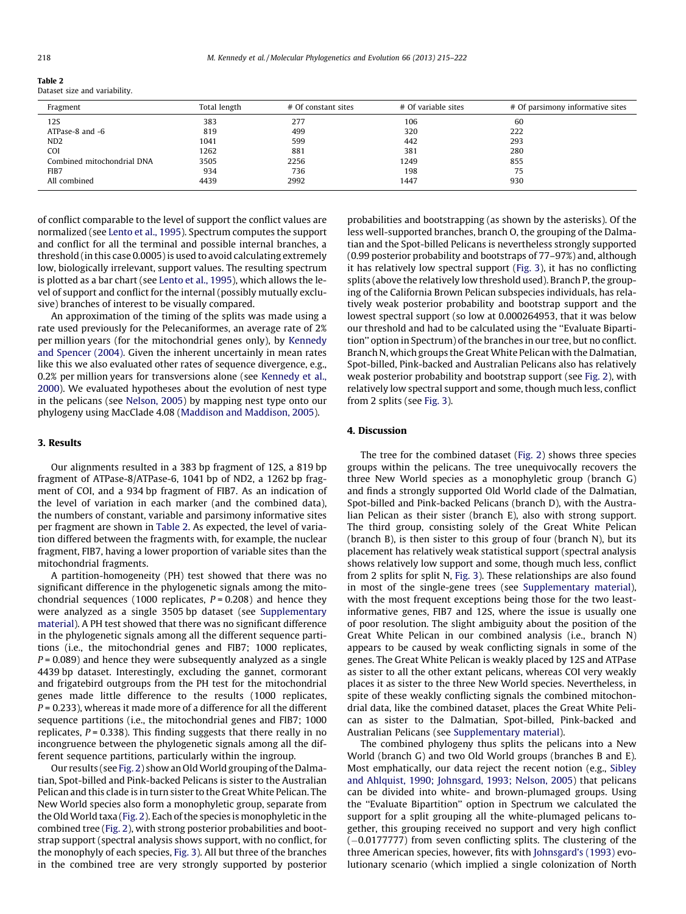| Table 2                       |  |
|-------------------------------|--|
| Dataset size and variability. |  |

| Fragment                   | Total length |      | # Of variable sites | # Of parsimony informative sites |
|----------------------------|--------------|------|---------------------|----------------------------------|
| 12S                        | 383          | 277  | 106                 | 60                               |
| ATPase-8 and -6            | 819          | 499  | 320                 | 222                              |
| ND <sub>2</sub>            | 1041         | 599  | 442                 | 293                              |
| <b>COI</b>                 | 1262         | 881  | 381                 | 280                              |
| Combined mitochondrial DNA | 3505         | 2256 | 1249                | 855                              |
| FIB7                       | 934          | 736  | 198                 | 75                               |
| All combined               | 4439         | 2992 | 1447                | 930                              |

of conflict comparable to the level of support the conflict values are normalized (see [Lento et al., 1995](#page-7-0)). Spectrum computes the support and conflict for all the terminal and possible internal branches, a threshold (in this case 0.0005) is used to avoid calculating extremely low, biologically irrelevant, support values. The resulting spectrum is plotted as a bar chart (see [Lento et al., 1995\)](#page-7-0), which allows the level of support and conflict for the internal (possibly mutually exclusive) branches of interest to be visually compared.

An approximation of the timing of the splits was made using a rate used previously for the Pelecaniformes, an average rate of 2% per million years (for the mitochondrial genes only), by [Kennedy](#page-7-0) [and Spencer \(2004\).](#page-7-0) Given the inherent uncertainly in mean rates like this we also evaluated other rates of sequence divergence, e.g., 0.2% per million years for transversions alone (see [Kennedy et al.,](#page-7-0) [2000\)](#page-7-0). We evaluated hypotheses about the evolution of nest type in the pelicans (see [Nelson, 2005\)](#page-7-0) by mapping nest type onto our phylogeny using MacClade 4.08 [\(Maddison and Maddison, 2005\)](#page-7-0).

## 3. Results

Our alignments resulted in a 383 bp fragment of 12S, a 819 bp fragment of ATPase-8/ATPase-6, 1041 bp of ND2, a 1262 bp fragment of COI, and a 934 bp fragment of FIB7. As an indication of the level of variation in each marker (and the combined data), the numbers of constant, variable and parsimony informative sites per fragment are shown in Table 2. As expected, the level of variation differed between the fragments with, for example, the nuclear fragment, FIB7, having a lower proportion of variable sites than the mitochondrial fragments.

A partition-homogeneity (PH) test showed that there was no significant difference in the phylogenetic signals among the mitochondrial sequences (1000 replicates,  $P = 0.208$ ) and hence they were analyzed as a single 3505 bp dataset (see Supplementary material). A PH test showed that there was no significant difference in the phylogenetic signals among all the different sequence partitions (i.e., the mitochondrial genes and FIB7; 1000 replicates,  $P = 0.089$ ) and hence they were subsequently analyzed as a single 4439 bp dataset. Interestingly, excluding the gannet, cormorant and frigatebird outgroups from the PH test for the mitochondrial genes made little difference to the results (1000 replicates,  $P = 0.233$ ), whereas it made more of a difference for all the different sequence partitions (i.e., the mitochondrial genes and FIB7; 1000 replicates,  $P = 0.338$ ). This finding suggests that there really in no incongruence between the phylogenetic signals among all the different sequence partitions, particularly within the ingroup.

Our results (see [Fig. 2](#page-4-0)) show an OldWorld grouping of the Dalmatian, Spot-billed and Pink-backed Pelicans is sister to the Australian Pelican and this clade is in turn sister to the Great White Pelican. The New World species also form a monophyletic group, separate from the OldWorld taxa [\(Fig. 2\)](#page-4-0). Each of the species is monophyletic in the combined tree ([Fig. 2](#page-4-0)), with strong posterior probabilities and bootstrap support (spectral analysis shows support, with no conflict, for the monophyly of each species, [Fig. 3\)](#page-4-0). All but three of the branches in the combined tree are very strongly supported by posterior probabilities and bootstrapping (as shown by the asterisks). Of the less well-supported branches, branch O, the grouping of the Dalmatian and the Spot-billed Pelicans is nevertheless strongly supported (0.99 posterior probability and bootstraps of 77–97%) and, although it has relatively low spectral support [\(Fig. 3](#page-4-0)), it has no conflicting splits (above the relatively low threshold used). Branch P, the grouping of the California Brown Pelican subspecies individuals, has relatively weak posterior probability and bootstrap support and the lowest spectral support (so low at 0.000264953, that it was below our threshold and had to be calculated using the ''Evaluate Bipartition'' option in Spectrum) of the branches in our tree, but no conflict. Branch N, which groups the GreatWhite Pelican with the Dalmatian, Spot-billed, Pink-backed and Australian Pelicans also has relatively weak posterior probability and bootstrap support (see [Fig. 2](#page-4-0)), with relatively low spectral support and some, though much less, conflict from 2 splits (see [Fig. 3\)](#page-4-0).

## 4. Discussion

The tree for the combined dataset ([Fig. 2](#page-4-0)) shows three species groups within the pelicans. The tree unequivocally recovers the three New World species as a monophyletic group (branch G) and finds a strongly supported Old World clade of the Dalmatian, Spot-billed and Pink-backed Pelicans (branch D), with the Australian Pelican as their sister (branch E), also with strong support. The third group, consisting solely of the Great White Pelican (branch B), is then sister to this group of four (branch N), but its placement has relatively weak statistical support (spectral analysis shows relatively low support and some, though much less, conflict from 2 splits for split N, [Fig. 3\)](#page-4-0). These relationships are also found in most of the single-gene trees (see Supplementary material), with the most frequent exceptions being those for the two leastinformative genes, FIB7 and 12S, where the issue is usually one of poor resolution. The slight ambiguity about the position of the Great White Pelican in our combined analysis (i.e., branch N) appears to be caused by weak conflicting signals in some of the genes. The Great White Pelican is weakly placed by 12S and ATPase as sister to all the other extant pelicans, whereas COI very weakly places it as sister to the three New World species. Nevertheless, in spite of these weakly conflicting signals the combined mitochondrial data, like the combined dataset, places the Great White Pelican as sister to the Dalmatian, Spot-billed, Pink-backed and Australian Pelicans (see Supplementary material).

The combined phylogeny thus splits the pelicans into a New World (branch G) and two Old World groups (branches B and E). Most emphatically, our data reject the recent notion (e.g., [Sibley](#page-7-0) [and Ahlquist, 1990; Johnsgard, 1993; Nelson, 2005\)](#page-7-0) that pelicans can be divided into white- and brown-plumaged groups. Using the ''Evaluate Bipartition'' option in Spectrum we calculated the support for a split grouping all the white-plumaged pelicans together, this grouping received no support and very high conflict  $(-0.0177777)$  from seven conflicting splits. The clustering of the three American species, however, fits with [Johnsgard's \(1993\)](#page-7-0) evolutionary scenario (which implied a single colonization of North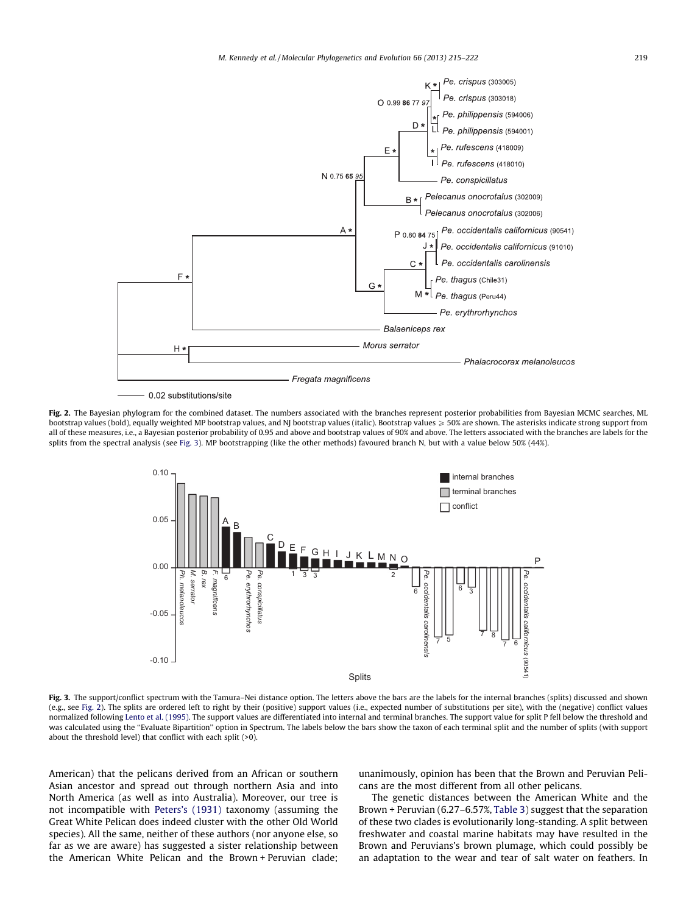<span id="page-4-0"></span>

0.02 substitutions/site

Fig. 2. The Bayesian phylogram for the combined dataset. The numbers associated with the branches represent posterior probabilities from Bayesian MCMC searches, ML bootstrap values (bold), equally weighted MP bootstrap values, and NJ bootstrap values (italic). Bootstrap values  $\geqslant$  50% are shown. The asterisks indicate strong support from all of these measures, i.e., a Bayesian posterior probability of 0.95 and above and bootstrap values of 90% and above. The letters associated with the branches are labels for the splits from the spectral analysis (see Fig. 3). MP bootstrapping (like the other methods) favoured branch N, but with a value below 50% (44%).



Fig. 3. The support/conflict spectrum with the Tamura–Nei distance option. The letters above the bars are the labels for the internal branches (splits) discussed and shown (e.g., see Fig. 2). The splits are ordered left to right by their (positive) support values (i.e., expected number of substitutions per site), with the (negative) conflict values normalized following [Lento et al. \(1995\).](#page-7-0) The support values are differentiated into internal and terminal branches. The support value for split P fell below the threshold and was calculated using the ''Evaluate Bipartition'' option in Spectrum. The labels below the bars show the taxon of each terminal split and the number of splits (with support about the threshold level) that conflict with each split (>0).

American) that the pelicans derived from an African or southern Asian ancestor and spread out through northern Asia and into North America (as well as into Australia). Moreover, our tree is not incompatible with [Peters's \(1931\)](#page-7-0) taxonomy (assuming the Great White Pelican does indeed cluster with the other Old World species). All the same, neither of these authors (nor anyone else, so far as we are aware) has suggested a sister relationship between the American White Pelican and the Brown + Peruvian clade; unanimously, opinion has been that the Brown and Peruvian Pelicans are the most different from all other pelicans.

The genetic distances between the American White and the Brown + Peruvian (6.27–6.57%, [Table 3](#page-5-0)) suggest that the separation of these two clades is evolutionarily long-standing. A split between freshwater and coastal marine habitats may have resulted in the Brown and Peruvians's brown plumage, which could possibly be an adaptation to the wear and tear of salt water on feathers. In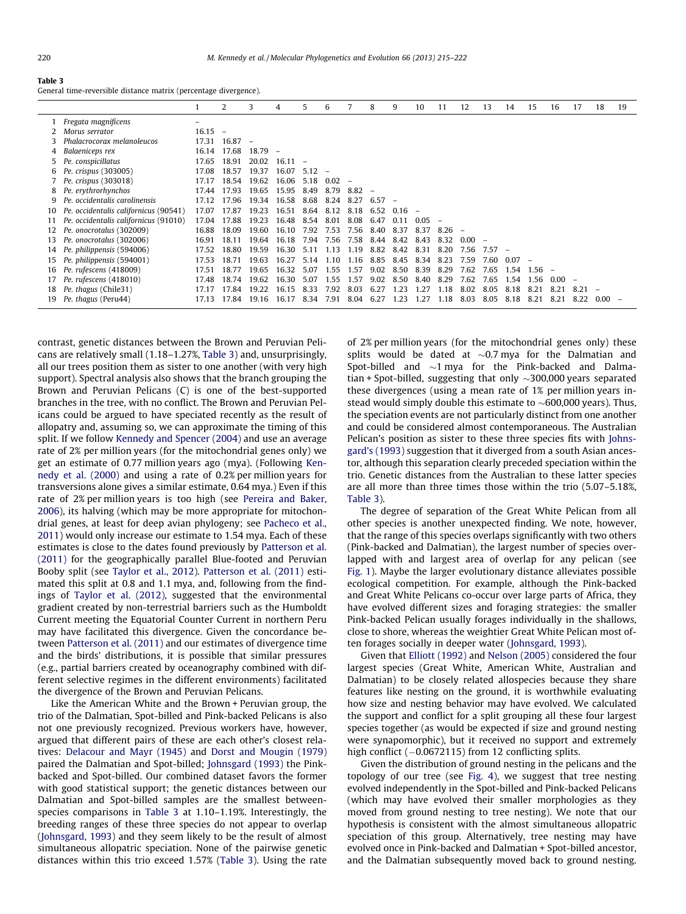<span id="page-5-0"></span>

General time-reversible distance matrix (percentage divergence).

|    |                                       |           | 2     | 3                        | 4          | 5.    | 6     |      |      | 9        | 10   | 11   | 12   | 13       | 14       | 15       | 16   | 17   | 18   | 19 |
|----|---------------------------------------|-----------|-------|--------------------------|------------|-------|-------|------|------|----------|------|------|------|----------|----------|----------|------|------|------|----|
|    | Fregata magnificens                   |           |       |                          |            |       |       |      |      |          |      |      |      |          |          |          |      |      |      |    |
|    | Morus serrator                        | $16.15 -$ |       |                          |            |       |       |      |      |          |      |      |      |          |          |          |      |      |      |    |
|    | Phalacrocorax melanoleucos            | 17.31     | 16.87 | $\overline{\phantom{a}}$ |            |       |       |      |      |          |      |      |      |          |          |          |      |      |      |    |
| 4  | Balaeniceps rex                       | 16.14     | 17.68 | 18.79                    |            |       |       |      |      |          |      |      |      |          |          |          |      |      |      |    |
| 5  | Pe. conspicillatus                    | 17.65     | 18.91 | 20.02                    | 16.11      |       |       |      |      |          |      |      |      |          |          |          |      |      |      |    |
| 6  | Pe. crispus (303005)                  | 17.08     | 18.57 | 19.37                    | 16.07      | 5.12  |       |      |      |          |      |      |      |          |          |          |      |      |      |    |
|    | 7 Pe. crispus (303018)                | 17.17     | 18.54 | 19.62                    | 16.06 5.18 |       | 0.02  |      |      |          |      |      |      |          |          |          |      |      |      |    |
| 8  | Pe. erythrorhynchos                   | 17.44     | 17.93 | 19.65                    | 15.95      | 8.49  | 8.79  | 8.82 |      |          |      |      |      |          |          |          |      |      |      |    |
| 9  | Pe. occidentalis carolinensis         | 17.12     | 17.96 | 19.34                    | 16.58      | 8.68  | 8.24  | 8.27 | 6.57 |          |      |      |      |          |          |          |      |      |      |    |
| 10 | Pe. occidentalis californicus (90541) | 17.07     | 17.87 | 19.23                    | 16.51      | 8.64  | 8.12  | 8.18 | 6.52 | $0.16 -$ |      |      |      |          |          |          |      |      |      |    |
|    | Pe. occidentalis californicus (91010) | 17.04     | 17.88 | 19.23                    | 16.48      | 8.54  | 8.01  | 8.08 | 6.47 | 0.11     | 0.05 |      |      |          |          |          |      |      |      |    |
| 12 | Pe. onocrotalus (302009)              | 16.88     | 18.09 | 19.60                    | 16.10      | 7.92  | 7.53  | 7.56 | 8.40 | 8.37     | 8.37 | 8.26 |      |          |          |          |      |      |      |    |
| 13 | Pe. onocrotalus (302006)              | 16.91     | 18.11 | 19.64                    | 16.18      | 7.94  | 7.56  | 7.58 | 8.44 | 8.42     | 843  | 832  | n nn |          |          |          |      |      |      |    |
| 14 | Pe. philippensis (594006)             | 17.52     | 18.80 | 19.59                    | 16.30      | 5 1 1 | 1.13  | 1.19 | 8.82 | 8.42     | 8.31 | 8.20 | 7.56 | $7.57 -$ |          |          |      |      |      |    |
| 15 | Pe. philippensis (594001)             | 17.53     | 18.71 | 19.63                    | 16.27      | 5 1 4 | 1 1 0 | 1.16 | 8.85 | 8.45     | 8.34 | 8.23 | 7.59 | 7.60     | $0.07 -$ |          |      |      |      |    |
| 16 | Pe. rufescens (418009)                | 17.51     | 18.77 | 19.65                    | 16.32      | 5.07  | 1.55  | 1.57 | 9.02 | 8.50     | 8.39 | 8.29 | 7.62 | 7.65     | 1.54     | $1.56 -$ |      |      |      |    |
| 17 | Pe. rufescens (418010)                | 17.48     | 18.74 | 19.62                    | 16.30      | 5.07  | 1.55  | 1.57 | 9.02 | 8.50     | 8.40 | 8.29 | 7.62 | 7.65     | 1.54     | 1.56     | 0.00 |      |      |    |
| 18 | Pe. thagus (Chile31)                  | 17.17     | 17.84 | 19.22                    | 16.15      | 8.33  | 7.92  | 8.03 | 6.27 | 1.23     | 1.27 | 1.18 | 8.02 | 8.05     | 8.18     | 8.21     | 8.21 | 8.21 |      |    |
| 19 | Pe. thagus (Peru44)                   | 17.13     | 17.84 | 19.16                    | 16.17      | 8.34  | 7.91  | 8.04 | 6.27 | 1.23     | .27  | 1.18 | 8.03 | 8.05     | 8.18     | 8.21     | 8.21 | 8.22 | 0.00 |    |

contrast, genetic distances between the Brown and Peruvian Pelicans are relatively small (1.18–1.27%, Table 3) and, unsurprisingly, all our trees position them as sister to one another (with very high support). Spectral analysis also shows that the branch grouping the Brown and Peruvian Pelicans (C) is one of the best-supported branches in the tree, with no conflict. The Brown and Peruvian Pelicans could be argued to have speciated recently as the result of allopatry and, assuming so, we can approximate the timing of this split. If we follow [Kennedy and Spencer \(2004\)](#page-7-0) and use an average rate of 2% per million years (for the mitochondrial genes only) we get an estimate of 0.77 million years ago (mya). (Following [Ken](#page-7-0)[nedy et al. \(2000\)](#page-7-0) and using a rate of 0.2% per million years for transversions alone gives a similar estimate, 0.64 mya.) Even if this rate of 2% per million years is too high (see [Pereira and Baker,](#page-7-0) [2006\)](#page-7-0), its halving (which may be more appropriate for mitochondrial genes, at least for deep avian phylogeny; see [Pacheco et al.,](#page-7-0) [2011\)](#page-7-0) would only increase our estimate to 1.54 mya. Each of these estimates is close to the dates found previously by [Patterson et al.](#page-7-0) [\(2011\)](#page-7-0) for the geographically parallel Blue-footed and Peruvian Booby split (see [Taylor et al., 2012\)](#page-7-0). [Patterson et al. \(2011\)](#page-7-0) estimated this split at 0.8 and 1.1 mya, and, following from the findings of [Taylor et al. \(2012\)](#page-7-0), suggested that the environmental gradient created by non-terrestrial barriers such as the Humboldt Current meeting the Equatorial Counter Current in northern Peru may have facilitated this divergence. Given the concordance between [Patterson et al. \(2011\)](#page-7-0) and our estimates of divergence time and the birds' distributions, it is possible that similar pressures (e.g., partial barriers created by oceanography combined with different selective regimes in the different environments) facilitated the divergence of the Brown and Peruvian Pelicans.

Like the American White and the Brown + Peruvian group, the trio of the Dalmatian, Spot-billed and Pink-backed Pelicans is also not one previously recognized. Previous workers have, however, argued that different pairs of these are each other's closest relatives: [Delacour and Mayr \(1945\)](#page-6-0) and [Dorst and Mougin \(1979\)](#page-6-0) paired the Dalmatian and Spot-billed; [Johnsgard \(1993\)](#page-7-0) the Pinkbacked and Spot-billed. Our combined dataset favors the former with good statistical support; the genetic distances between our Dalmatian and Spot-billed samples are the smallest betweenspecies comparisons in Table 3 at 1.10–1.19%. Interestingly, the breeding ranges of these three species do not appear to overlap ([Johnsgard, 1993](#page-7-0)) and they seem likely to be the result of almost simultaneous allopatric speciation. None of the pairwise genetic distances within this trio exceed 1.57% (Table 3). Using the rate of 2% per million years (for the mitochondrial genes only) these splits would be dated at  $\sim 0.7$  mya for the Dalmatian and Spot-billed and  $\sim$ 1 mya for the Pink-backed and Dalmatian + Spot-billed, suggesting that only  $\sim$ 300,000 years separated these divergences (using a mean rate of 1% per million years instead would simply double this estimate to  $\sim$  600,000 years). Thus, the speciation events are not particularly distinct from one another and could be considered almost contemporaneous. The Australian Pelican's position as sister to these three species fits with [Johns](#page-7-0)[gard's \(1993\)](#page-7-0) suggestion that it diverged from a south Asian ancestor, although this separation clearly preceded speciation within the trio. Genetic distances from the Australian to these latter species are all more than three times those within the trio (5.07–5.18%, Table 3).

The degree of separation of the Great White Pelican from all other species is another unexpected finding. We note, however, that the range of this species overlaps significantly with two others (Pink-backed and Dalmatian), the largest number of species overlapped with and largest area of overlap for any pelican (see [Fig. 1](#page-1-0)). Maybe the larger evolutionary distance alleviates possible ecological competition. For example, although the Pink-backed and Great White Pelicans co-occur over large parts of Africa, they have evolved different sizes and foraging strategies: the smaller Pink-backed Pelican usually forages individually in the shallows, close to shore, whereas the weightier Great White Pelican most often forages socially in deeper water ([Johnsgard, 1993\)](#page-7-0).

Given that [Elliott \(1992\)](#page-6-0) and [Nelson \(2005\)](#page-7-0) considered the four largest species (Great White, American White, Australian and Dalmatian) to be closely related allospecies because they share features like nesting on the ground, it is worthwhile evaluating how size and nesting behavior may have evolved. We calculated the support and conflict for a split grouping all these four largest species together (as would be expected if size and ground nesting were synapomorphic), but it received no support and extremely high conflict  $(-0.0672115)$  from 12 conflicting splits.

Given the distribution of ground nesting in the pelicans and the topology of our tree (see [Fig. 4\)](#page-6-0), we suggest that tree nesting evolved independently in the Spot-billed and Pink-backed Pelicans (which may have evolved their smaller morphologies as they moved from ground nesting to tree nesting). We note that our hypothesis is consistent with the almost simultaneous allopatric speciation of this group. Alternatively, tree nesting may have evolved once in Pink-backed and Dalmatian + Spot-billed ancestor, and the Dalmatian subsequently moved back to ground nesting.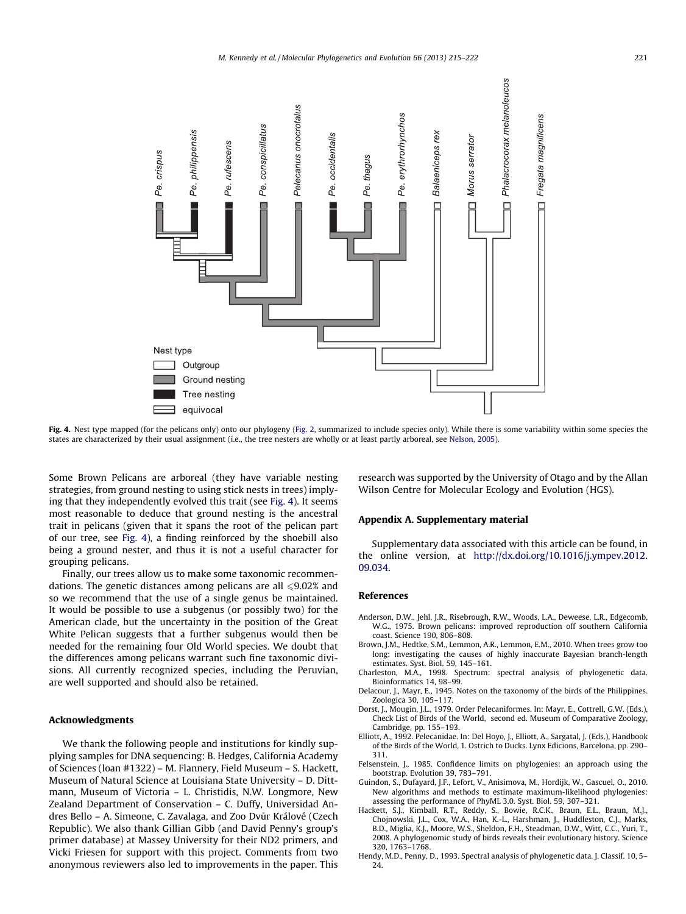<span id="page-6-0"></span>

Fig. 4. Nest type mapped (for the pelicans only) onto our phylogeny ([Fig. 2,](#page-4-0) summarized to include species only). While there is some variability within some species the states are characterized by their usual assignment (i.e., the tree nesters are wholly or at least partly arboreal, see [Nelson, 2005\)](#page-7-0).

Some Brown Pelicans are arboreal (they have variable nesting strategies, from ground nesting to using stick nests in trees) implying that they independently evolved this trait (see Fig. 4). It seems most reasonable to deduce that ground nesting is the ancestral trait in pelicans (given that it spans the root of the pelican part of our tree, see Fig. 4), a finding reinforced by the shoebill also being a ground nester, and thus it is not a useful character for grouping pelicans.

Finally, our trees allow us to make some taxonomic recommendations. The genetic distances among pelicans are all  $\leq 9.02\%$  and so we recommend that the use of a single genus be maintained. It would be possible to use a subgenus (or possibly two) for the American clade, but the uncertainty in the position of the Great White Pelican suggests that a further subgenus would then be needed for the remaining four Old World species. We doubt that the differences among pelicans warrant such fine taxonomic divisions. All currently recognized species, including the Peruvian, are well supported and should also be retained.

# Acknowledgments

We thank the following people and institutions for kindly supplying samples for DNA sequencing: B. Hedges, California Academy of Sciences (loan #1322) – M. Flannery, Field Museum – S. Hackett, Museum of Natural Science at Louisiana State University – D. Dittmann, Museum of Victoria – L. Christidis, N.W. Longmore, New Zealand Department of Conservation – C. Duffy, Universidad Andres Bello - A. Simeone, C. Zavalaga, and Zoo Dvůr Králové (Czech Republic). We also thank Gillian Gibb (and David Penny's group's primer database) at Massey University for their ND2 primers, and Vicki Friesen for support with this project. Comments from two anonymous reviewers also led to improvements in the paper. This research was supported by the University of Otago and by the Allan Wilson Centre for Molecular Ecology and Evolution (HGS).

#### Appendix A. Supplementary material

Supplementary data associated with this article can be found, in the online version, at [http://dx.doi.org/10.1016/j.ympev.2012.](http://dx.doi.org/10.1016/j.ympev.2012.09.034) [09.034](http://dx.doi.org/10.1016/j.ympev.2012.09.034).

## References

- Anderson, D.W., Jehl, J.R., Risebrough, R.W., Woods, L.A., Deweese, L.R., Edgecomb, W.G., 1975. Brown pelicans: improved reproduction off southern California coast. Science 190, 806–808.
- Brown, J.M., Hedtke, S.M., Lemmon, A.R., Lemmon, E.M., 2010. When trees grow too long: investigating the causes of highly inaccurate Bayesian branch-length estimates. Syst. Biol. 59, 145–161.
- Charleston, M.A., 1998. Spectrum: spectral analysis of phylogenetic data. Bioinformatics 14, 98–99.
- Delacour, J., Mayr, E., 1945. Notes on the taxonomy of the birds of the Philippines. Zoologica 30, 105–117.
- Dorst, J., Mougin, J.L., 1979. Order Pelecaniformes. In: Mayr, E., Cottrell, G.W. (Eds.), Check List of Birds of the World, second ed. Museum of Comparative Zoology, Cambridge, pp. 155–193.
- Elliott, A., 1992. Pelecanidae. In: Del Hoyo, J., Elliott, A., Sargatal, J. (Eds.), Handbook of the Birds of the World, 1. Ostrich to Ducks. Lynx Edicions, Barcelona, pp. 290– 311.
- Felsenstein, J., 1985. Confidence limits on phylogenies: an approach using the bootstrap. Evolution 39, 783–791.
- Guindon, S., Dufayard, J.F., Lefort, V., Anisimova, M., Hordijk, W., Gascuel, O., 2010. New algorithms and methods to estimate maximum-likelihood phylogenies: assessing the performance of PhyML 3.0. Syst. Biol. 59, 307–321.
- Hackett, S.J., Kimball, R.T., Reddy, S., Bowie, R.C.K., Braun, E.L., Braun, M.J., Chojnowski, J.L., Cox, W.A., Han, K.-L., Harshman, J., Huddleston, C.J., Marks, B.D., Miglia, K.J., Moore, W.S., Sheldon, F.H., Steadman, D.W., Witt, C.C., Yuri, T., 2008. A phylogenomic study of birds reveals their evolutionary history. Science 320, 1763–1768.
- Hendy, M.D., Penny, D., 1993. Spectral analysis of phylogenetic data. J. Classif. 10, 5– 24.